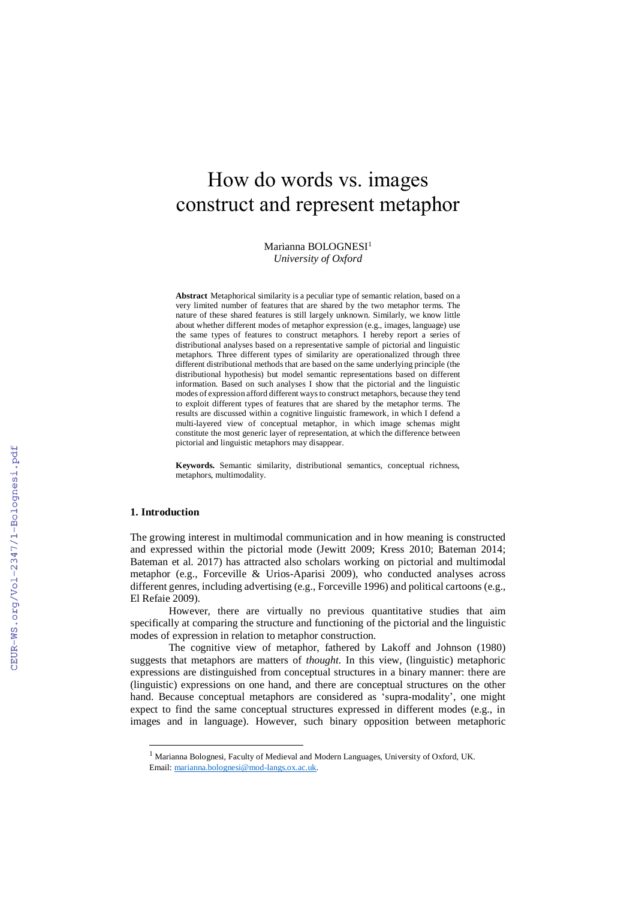# How do words vs. images construct and represent metaphor

Marianna BOLOGNESI<sup>1</sup> *University of Oxford*

**Abstract** Metaphorical similarity is a peculiar type of semantic relation, based on a very limited number of features that are shared by the two metaphor terms. The nature of these shared features is still largely unknown. Similarly, we know little about whether different modes of metaphor expression (e.g., images, language) use the same types of features to construct metaphors. I hereby report a series of distributional analyses based on a representative sample of pictorial and linguistic metaphors. Three different types of similarity are operationalized through three different distributional methods that are based on the same underlying principle (the distributional hypothesis) but model semantic representations based on different information. Based on such analyses I show that the pictorial and the linguistic modes of expression afford different ways to construct metaphors, because they tend to exploit different types of features that are shared by the metaphor terms. The results are discussed within a cognitive linguistic framework, in which I defend a multi-layered view of conceptual metaphor, in which image schemas might constitute the most generic layer of representation, at which the difference between pictorial and linguistic metaphors may disappear.

**Keywords.** Semantic similarity, distributional semantics, conceptual richness, metaphors, multimodality.

#### **1. Introduction**

 $\overline{a}$ 

The growing interest in multimodal communication and in how meaning is constructed and expressed within the pictorial mode (Jewitt 2009; Kress 2010; Bateman 2014; Bateman et al. 2017) has attracted also scholars working on pictorial and multimodal metaphor (e.g., Forceville & Urios-Aparisi 2009), who conducted analyses across different genres, including advertising (e.g., Forceville 1996) and political cartoons (e.g., El Refaie 2009).

However, there are virtually no previous quantitative studies that aim specifically at comparing the structure and functioning of the pictorial and the linguistic modes of expression in relation to metaphor construction.

The cognitive view of metaphor, fathered by Lakoff and Johnson (1980) suggests that metaphors are matters of *thought*. In this view, (linguistic) metaphoric expressions are distinguished from conceptual structures in a binary manner: there are (linguistic) expressions on one hand, and there are conceptual structures on the other hand. Because conceptual metaphors are considered as 'supra-modality', one might expect to find the same conceptual structures expressed in different modes (e.g., in images and in language). However, such binary opposition between metaphoric

<sup>1</sup> Marianna Bolognesi, Faculty of Medieval and Modern Languages, University of Oxford, UK. Email: [marianna.bolognesi@mod-langs.ox.ac.uk.](mailto:marianna.bolognesi@mod-langs.ox.ac.uk)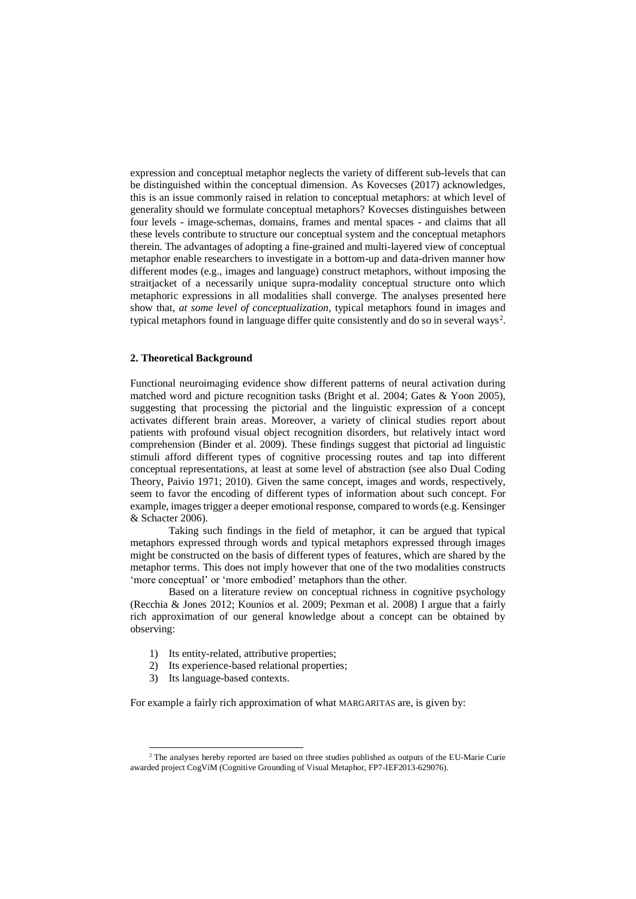expression and conceptual metaphor neglects the variety of different sub-levels that can be distinguished within the conceptual dimension. As Kovecses (2017) acknowledges, this is an issue commonly raised in relation to conceptual metaphors: at which level of generality should we formulate conceptual metaphors? Kovecses distinguishes between four levels - image-schemas, domains, frames and mental spaces - and claims that all these levels contribute to structure our conceptual system and the conceptual metaphors therein. The advantages of adopting a fine-grained and multi-layered view of conceptual metaphor enable researchers to investigate in a bottom-up and data-driven manner how different modes (e.g., images and language) construct metaphors, without imposing the straitjacket of a necessarily unique supra-modality conceptual structure onto which metaphoric expressions in all modalities shall converge. The analyses presented here show that, *at some level of conceptualization*, typical metaphors found in images and typical metaphors found in language differ quite consistently and do so in several ways<sup>2</sup>.

#### **2. Theoretical Background**

Functional neuroimaging evidence show different patterns of neural activation during matched word and picture recognition tasks (Bright et al. 2004; Gates & Yoon 2005), suggesting that processing the pictorial and the linguistic expression of a concept activates different brain areas. Moreover, a variety of clinical studies report about patients with profound visual object recognition disorders, but relatively intact word comprehension (Binder et al. 2009). These findings suggest that pictorial ad linguistic stimuli afford different types of cognitive processing routes and tap into different conceptual representations, at least at some level of abstraction (see also Dual Coding Theory, Paivio 1971; 2010). Given the same concept, images and words, respectively, seem to favor the encoding of different types of information about such concept. For example, images trigger a deeper emotional response, compared to words (e.g. Kensinger & Schacter 2006).

Taking such findings in the field of metaphor, it can be argued that typical metaphors expressed through words and typical metaphors expressed through images might be constructed on the basis of different types of features, which are shared by the metaphor terms. This does not imply however that one of the two modalities constructs 'more conceptual' or 'more embodied' metaphors than the other.

Based on a literature review on conceptual richness in cognitive psychology (Recchia & Jones 2012; Kounios et al. 2009; Pexman et al. 2008) I argue that a fairly rich approximation of our general knowledge about a concept can be obtained by observing:

- 1) Its entity-related, attributive properties;
- 2) Its experience-based relational properties;
- 3) Its language-based contexts.

 $\overline{a}$ 

For example a fairly rich approximation of what MARGARITAS are, is given by:

<sup>&</sup>lt;sup>2</sup> The analyses hereby reported are based on three studies published as outputs of the EU-Marie Curie awarded project CogViM (Cognitive Grounding of Visual Metaphor, FP7-IEF2013-629076).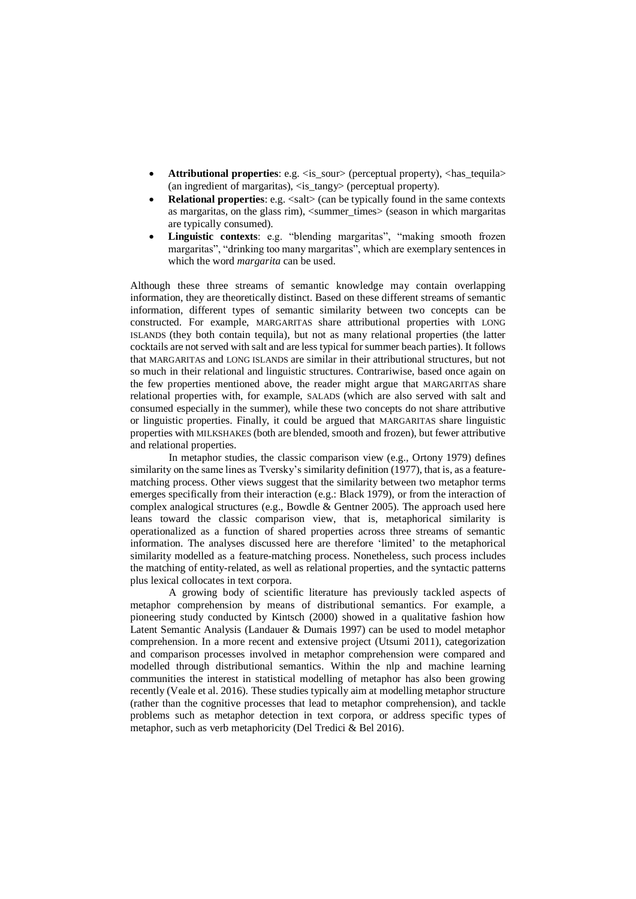- **Attributional properties**: e.g.  $\langle$  is sour> (perceptual property),  $\langle$  has tequila> (an ingredient of margaritas),  $\langle$  is tangy $\rangle$  (perceptual property).
- **Relational properties**: e.g.  $\langle \text{salt} \rangle$  (can be typically found in the same contexts as margaritas, on the glass rim),  $\langle$ summer times $\rangle$  (season in which margaritas are typically consumed).
- **Linguistic contexts**: e.g. "blending margaritas", "making smooth frozen margaritas", "drinking too many margaritas", which are exemplary sentences in which the word *margarita* can be used.

Although these three streams of semantic knowledge may contain overlapping information, they are theoretically distinct. Based on these different streams of semantic information, different types of semantic similarity between two concepts can be constructed. For example, MARGARITAS share attributional properties with LONG ISLANDS (they both contain tequila), but not as many relational properties (the latter cocktails are not served with salt and are less typical for summer beach parties). It follows that MARGARITAS and LONG ISLANDS are similar in their attributional structures, but not so much in their relational and linguistic structures. Contrariwise, based once again on the few properties mentioned above, the reader might argue that MARGARITAS share relational properties with, for example, SALADS (which are also served with salt and consumed especially in the summer), while these two concepts do not share attributive or linguistic properties. Finally, it could be argued that MARGARITAS share linguistic properties with MILKSHAKES (both are blended, smooth and frozen), but fewer attributive and relational properties.

In metaphor studies, the classic comparison view (e.g., Ortony 1979) defines similarity on the same lines as Tversky's similarity definition (1977), that is, as a featurematching process. Other views suggest that the similarity between two metaphor terms emerges specifically from their interaction (e.g.: Black 1979), or from the interaction of complex analogical structures (e.g., Bowdle & Gentner 2005). The approach used here leans toward the classic comparison view, that is, metaphorical similarity is operationalized as a function of shared properties across three streams of semantic information. The analyses discussed here are therefore 'limited' to the metaphorical similarity modelled as a feature-matching process. Nonetheless, such process includes the matching of entity-related, as well as relational properties, and the syntactic patterns plus lexical collocates in text corpora.

A growing body of scientific literature has previously tackled aspects of metaphor comprehension by means of distributional semantics. For example, a pioneering study conducted by Kintsch (2000) showed in a qualitative fashion how Latent Semantic Analysis (Landauer & Dumais 1997) can be used to model metaphor comprehension. In a more recent and extensive project (Utsumi 2011), categorization and comparison processes involved in metaphor comprehension were compared and modelled through distributional semantics. Within the nlp and machine learning communities the interest in statistical modelling of metaphor has also been growing recently (Veale et al. 2016). These studies typically aim at modelling metaphor structure (rather than the cognitive processes that lead to metaphor comprehension), and tackle problems such as metaphor detection in text corpora, or address specific types of metaphor, such as verb metaphoricity (Del Tredici & Bel 2016).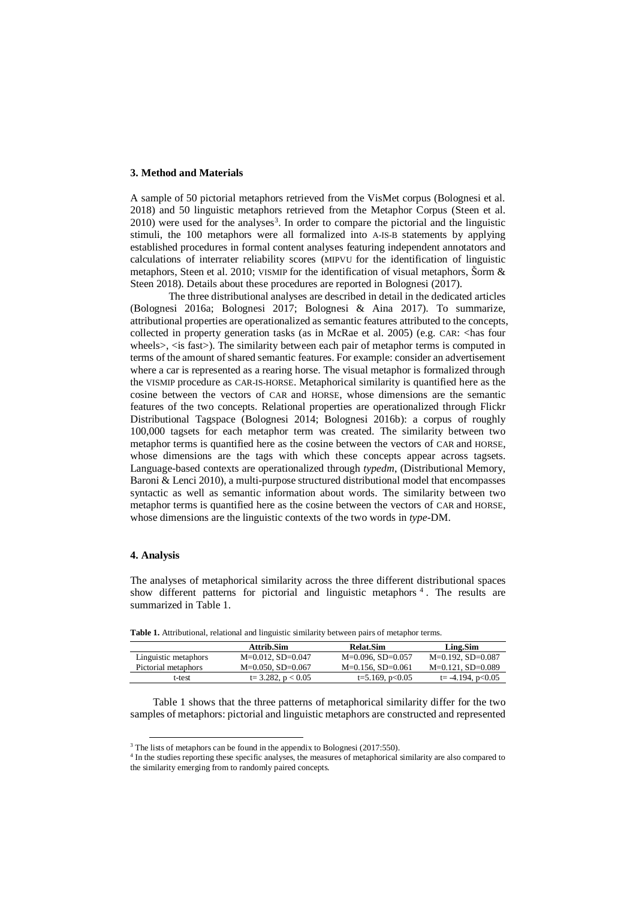## **3. Method and Materials**

A sample of 50 pictorial metaphors retrieved from the VisMet corpus (Bolognesi et al. 2018) and 50 linguistic metaphors retrieved from the Metaphor Corpus (Steen et al.  $2010$ ) were used for the analyses<sup>3</sup>. In order to compare the pictorial and the linguistic stimuli, the 100 metaphors were all formalized into A-IS-B statements by applying established procedures in formal content analyses featuring independent annotators and calculations of interrater reliability scores (MIPVU for the identification of linguistic metaphors, Steen et al. 2010; VISMIP for the identification of visual metaphors, Sorm & Steen 2018). Details about these procedures are reported in Bolognesi (2017).

The three distributional analyses are described in detail in the dedicated articles (Bolognesi 2016a; Bolognesi 2017; Bolognesi & Aina 2017). To summarize, attributional properties are operationalized as semantic features attributed to the concepts, collected in property generation tasks (as in McRae et al. 2005) (e.g. CAR: <has four wheels>, <is fast>). The similarity between each pair of metaphor terms is computed in terms of the amount of shared semantic features. For example: consider an advertisement where a car is represented as a rearing horse. The visual metaphor is formalized through the VISMIP procedure as CAR-IS-HORSE. Metaphorical similarity is quantified here as the cosine between the vectors of CAR and HORSE, whose dimensions are the semantic features of the two concepts. Relational properties are operationalized through Flickr Distributional Tagspace (Bolognesi 2014; Bolognesi 2016b): a corpus of roughly 100,000 tagsets for each metaphor term was created. The similarity between two metaphor terms is quantified here as the cosine between the vectors of CAR and HORSE, whose dimensions are the tags with which these concepts appear across tagsets. Language-based contexts are operationalized through *typedm*, (Distributional Memory, Baroni & Lenci 2010), a multi-purpose structured distributional model that encompasses syntactic as well as semantic information about words. The similarity between two metaphor terms is quantified here as the cosine between the vectors of CAR and HORSE, whose dimensions are the linguistic contexts of the two words in *type*-DM.

# **4. Analysis**

-

The analyses of metaphorical similarity across the three different distributional spaces show different patterns for pictorial and linguistic metaphors  $4$ . The results are summarized in Table 1.

**Attrib.Sim Relat.Sim Ling.Sim** Linguistic metaphors M=0.012, SD=0.047 M=0.096, SD=0.057 M=0.192, SD=0.087 Pictorial metaphors M=0.050, SD=0.067 M=0.156, SD=0.061 M=0.121, SD=0.089 t-test t= 3.282, p < 0.05 t=5.169, p < 0.05 t= -4.194, p < 0.05

**Table 1.** Attributional, relational and linguistic similarity between pairs of metaphor terms.

Table 1 shows that the three patterns of metaphorical similarity differ for the two samples of metaphors: pictorial and linguistic metaphors are constructed and represented

<sup>&</sup>lt;sup>3</sup> The lists of metaphors can be found in the appendix to Bolognesi (2017:550).

<sup>4</sup> In the studies reporting these specific analyses, the measures of metaphorical similarity are also compared to the similarity emerging from to randomly paired concepts.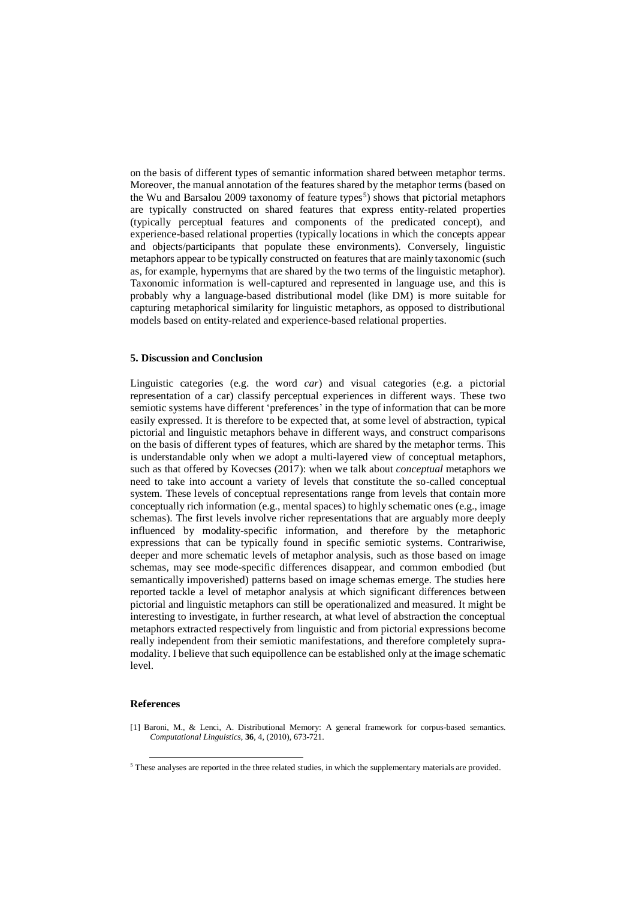on the basis of different types of semantic information shared between metaphor terms. Moreover, the manual annotation of the features shared by the metaphor terms (based on the Wu and Barsalou 2009 taxonomy of feature types<sup>5</sup>) shows that pictorial metaphors are typically constructed on shared features that express entity-related properties (typically perceptual features and components of the predicated concept), and experience-based relational properties (typically locations in which the concepts appear and objects/participants that populate these environments). Conversely, linguistic metaphors appear to be typically constructed on features that are mainly taxonomic (such as, for example, hypernyms that are shared by the two terms of the linguistic metaphor). Taxonomic information is well-captured and represented in language use, and this is probably why a language-based distributional model (like DM) is more suitable for capturing metaphorical similarity for linguistic metaphors, as opposed to distributional models based on entity-related and experience-based relational properties.

## **5. Discussion and Conclusion**

Linguistic categories (e.g. the word *car*) and visual categories (e.g. a pictorial representation of a car) classify perceptual experiences in different ways. These two semiotic systems have different 'preferences' in the type of information that can be more easily expressed. It is therefore to be expected that, at some level of abstraction, typical pictorial and linguistic metaphors behave in different ways, and construct comparisons on the basis of different types of features, which are shared by the metaphor terms. This is understandable only when we adopt a multi-layered view of conceptual metaphors, such as that offered by Kovecses (2017): when we talk about *conceptual* metaphors we need to take into account a variety of levels that constitute the so-called conceptual system. These levels of conceptual representations range from levels that contain more conceptually rich information (e.g., mental spaces) to highly schematic ones (e.g., image schemas). The first levels involve richer representations that are arguably more deeply influenced by modality-specific information, and therefore by the metaphoric expressions that can be typically found in specific semiotic systems. Contrariwise, deeper and more schematic levels of metaphor analysis, such as those based on image schemas, may see mode-specific differences disappear, and common embodied (but semantically impoverished) patterns based on image schemas emerge. The studies here reported tackle a level of metaphor analysis at which significant differences between pictorial and linguistic metaphors can still be operationalized and measured. It might be interesting to investigate, in further research, at what level of abstraction the conceptual metaphors extracted respectively from linguistic and from pictorial expressions become really independent from their semiotic manifestations, and therefore completely supramodality. I believe that such equipollence can be established only at the image schematic level.

## **References**

-

[1] Baroni, M., & Lenci, A. Distributional Memory: A general framework for corpus-based semantics. *Computational Linguistics*, **36**, 4, (2010), 673-721.

<sup>5</sup> These analyses are reported in the three related studies, in which the supplementary materials are provided.